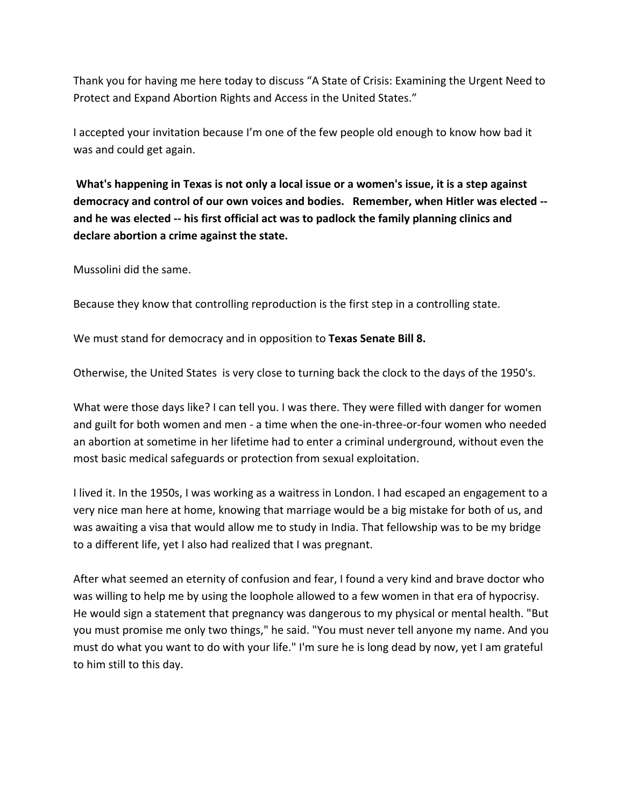Thank you for having me here today to discuss "A State of Crisis: Examining the Urgent Need to Protect and Expand Abortion Rights and Access in the United States."

I accepted your invitation because I'm one of the few people old enough to know how bad it was and could get again.

**What's happening in Texas is not only a local issue or a women's issue, it is a step against democracy and control of our own voices and bodies. Remember, when Hitler was elected - and he was elected -- his first official act was to padlock the family planning clinics and declare abortion a crime against the state.** 

Mussolini did the same.

Because they know that controlling reproduction is the first step in a controlling state.

We must stand for democracy and in opposition to **Texas Senate Bill 8.** 

Otherwise, the United States is very close to turning back the clock to the days of the 1950's.

What were those days like? I can tell you. I was there. They were filled with danger for women and guilt for both women and men - a time when the one-in-three-or-four women who needed an abortion at sometime in her lifetime had to enter a criminal underground, without even the most basic medical safeguards or protection from sexual exploitation.

I lived it. In the 1950s, I was working as a waitress in London. I had escaped an engagement to a very nice man here at home, knowing that marriage would be a big mistake for both of us, and was awaiting a visa that would allow me to study in India. That fellowship was to be my bridge to a different life, yet I also had realized that I was pregnant.

After what seemed an eternity of confusion and fear, I found a very kind and brave doctor who was willing to help me by using the loophole allowed to a few women in that era of hypocrisy. He would sign a statement that pregnancy was dangerous to my physical or mental health. "But you must promise me only two things," he said. "You must never tell anyone my name. And you must do what you want to do with your life." I'm sure he is long dead by now, yet I am grateful to him still to this day.